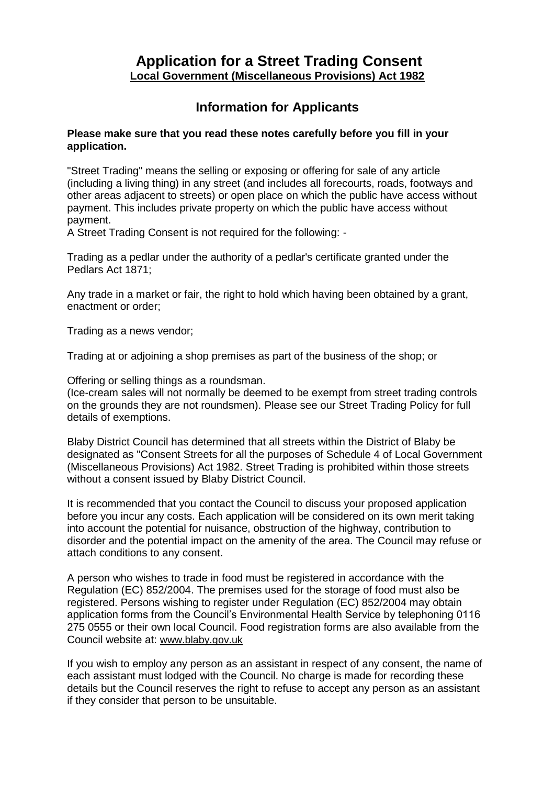## **Application for a Street Trading Consent Local Government (Miscellaneous Provisions) Act 1982**

# **Information for Applicants**

#### **Please make sure that you read these notes carefully before you fill in your application.**

"Street Trading" means the selling or exposing or offering for sale of any article (including a living thing) in any street (and includes all forecourts, roads, footways and other areas adjacent to streets) or open place on which the public have access without payment. This includes private property on which the public have access without payment.

A Street Trading Consent is not required for the following: -

Trading as a pedlar under the authority of a pedlar's certificate granted under the Pedlars Act 1871;

Any trade in a market or fair, the right to hold which having been obtained by a grant, enactment or order;

Trading as a news vendor;

Trading at or adjoining a shop premises as part of the business of the shop; or

Offering or selling things as a roundsman.

(Ice-cream sales will not normally be deemed to be exempt from street trading controls on the grounds they are not roundsmen). Please see our Street Trading Policy for full details of exemptions.

Blaby District Council has determined that all streets within the District of Blaby be designated as "Consent Streets for all the purposes of Schedule 4 of Local Government (Miscellaneous Provisions) Act 1982. Street Trading is prohibited within those streets without a consent issued by Blaby District Council.

It is recommended that you contact the Council to discuss your proposed application before you incur any costs. Each application will be considered on its own merit taking into account the potential for nuisance, obstruction of the highway, contribution to disorder and the potential impact on the amenity of the area. The Council may refuse or attach conditions to any consent.

A person who wishes to trade in food must be registered in accordance with the Regulation (EC) 852/2004. The premises used for the storage of food must also be registered. Persons wishing to register under Regulation (EC) 852/2004 may obtain application forms from the Council's Environmental Health Service by telephoning 0116 275 0555 or their own local Council. Food registration forms are also available from the Council website at: www.blaby.gov.uk

If you wish to employ any person as an assistant in respect of any consent, the name of each assistant must lodged with the Council. No charge is made for recording these details but the Council reserves the right to refuse to accept any person as an assistant if they consider that person to be unsuitable.